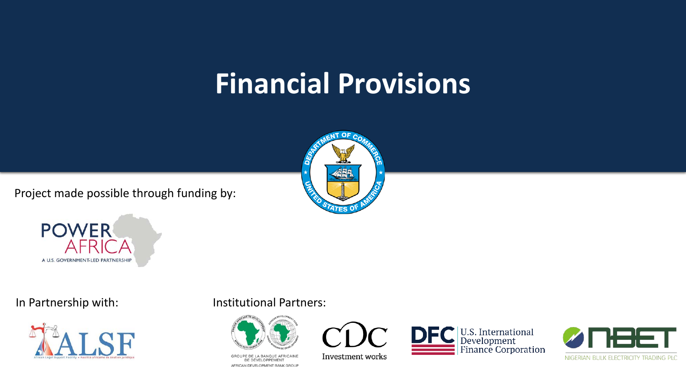### **Financial Provisions**

Project made possible through funding by:







In Partnership with: Institutional Partners:



GROUPE DE LA BANQUE AFRICAINE DE DÉVELOPPEMENT AFRICAN DEVELOPMENT BANK GROUP



Investment works



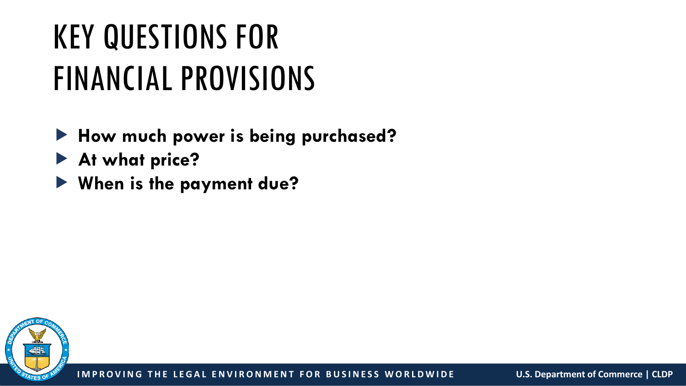# KEY QUESTIONS FOR FINANCIAL PROVISIONS

- **How much power is being purchased?**
- **At what price?**
- **When is the payment due?**

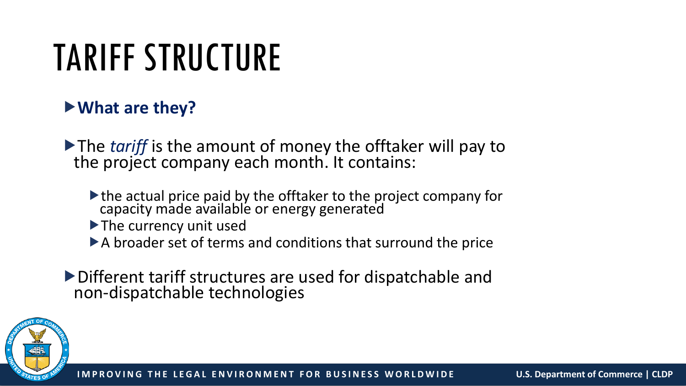# TARIFF STRUCTURE

### **What are they?**

The *tariff* is the amount of money the offtaker will pay to the project company each month. It contains:

- the actual price paid by the offtaker to the project company for capacity made available or energy generated
- The currency unit used
- A broader set of terms and conditions that surround the price
- Different tariff structures are used for dispatchable and non-dispatchable technologies

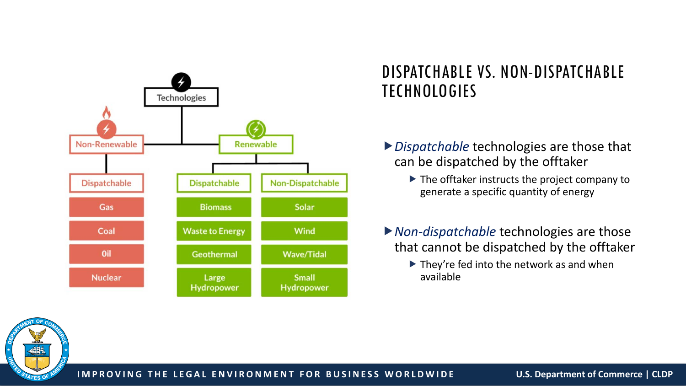

#### DISPATCHABLE VS. NON-DISPATCHABLE TECHNOLOGIES

- *Dispatchable* technologies are those that can be dispatched by the offtaker
	- $\blacktriangleright$  The offtaker instructs the project company to generate a specific quantity of energy
- *Non-dispatchable* technologies are those that cannot be dispatched by the offtaker
	- $\blacktriangleright$  They're fed into the network as and when available

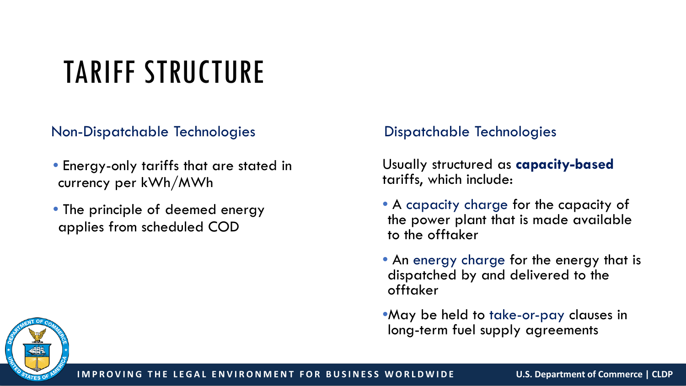## TARIFF STRUCTURE

Non-Dispatchable Technologies

- Energy-only tariffs that are stated in currency per kWh/MWh
- The principle of deemed energy applies from scheduled COD

#### Dispatchable Technologies

Usually structured as **capacity-based** tariffs, which include:

- A capacity charge for the capacity of the power plant that is made available to the offtaker
- An energy charge for the energy that is dispatched by and delivered to the offtaker

•May be held to take-or-pay clauses in long-term fuel supply agreements

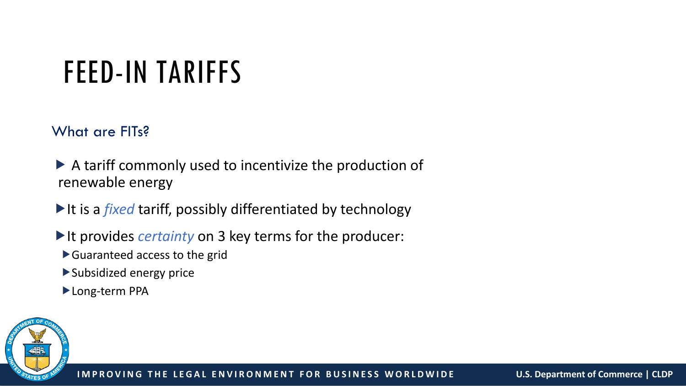## FEED-IN TARIFFS

#### What are FITs?

- A tariff commonly used to incentivize the production of renewable energy
- It is a *fixed* tariff, possibly differentiated by technology
- If the provides *certainty* on 3 key terms for the producer:
	- Guaranteed access to the grid
	- Subsidized energy price
	- Long-term PPA

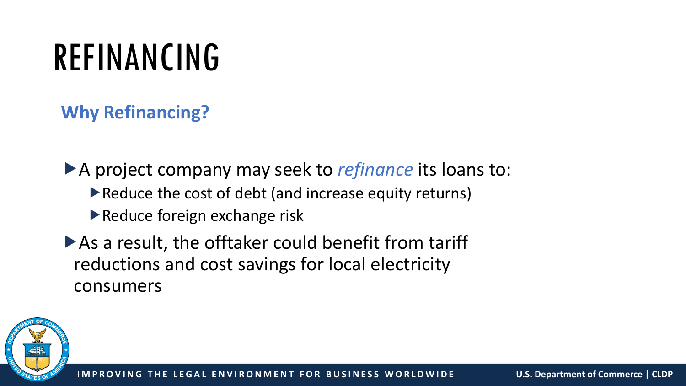# REFINANCING

### **Why Refinancing?**

A project company may seek to *refinance* its loans to:

- ▶ Reduce the cost of debt (and increase equity returns)
- Reduce foreign exchange risk
- As a result, the offtaker could benefit from tariff reductions and cost savings for local electricity consumers

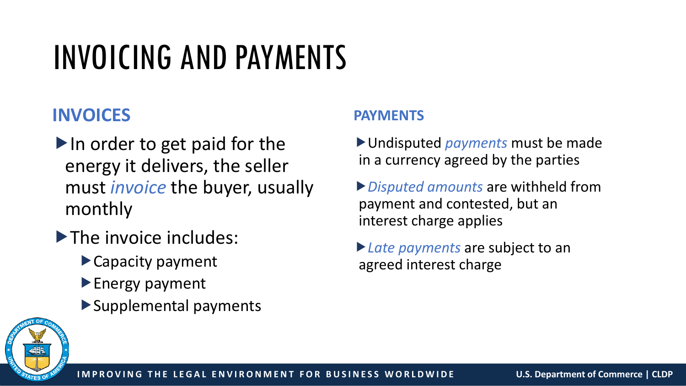## INVOICING AND PAYMENTS

### **INVOICES**

- $\blacktriangleright$  In order to get paid for the energy it delivers, the seller must *invoice* the buyer, usually monthly
- The invoice includes:
	- Capacity payment
	- **Energy payment**
	- Supplemental payments

#### **PAYMENTS**

Undisputed *payments* must be made in a currency agreed by the parties

- *Disputed amounts* are withheld from payment and contested, but an interest charge applies
- *Late payments* are subject to an agreed interest charge

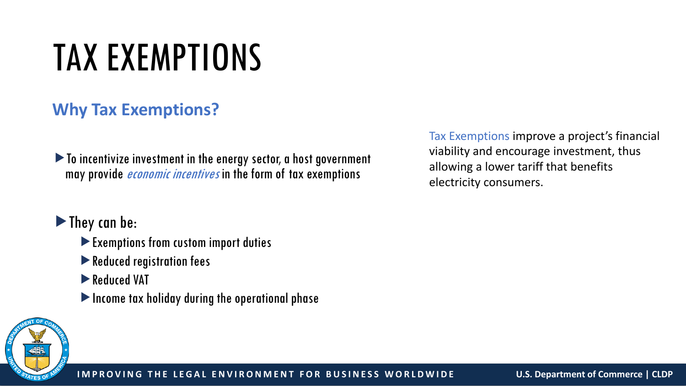# TAX EXEMPTIONS

### **Why Tax Exemptions?**

To incentivize investment in the energy sector, a host government may provide *economic incentives* in the form of tax exemptions

#### $\blacktriangleright$  They can be:

- Exemptions from custom import duties
- Reduced registration fees
- Reduced VAT
- Income tax holiday during the operational phase

Tax Exemptions improve a project's financial viability and encourage investment, thus allowing a lower tariff that benefits electricity consumers.